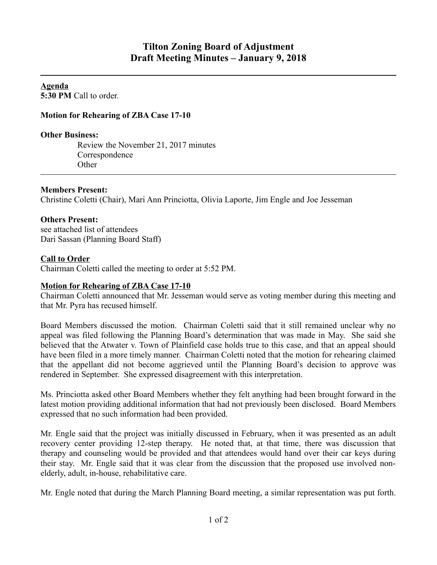**Agenda 5:30 PM** Call to order.

## **Motion for Rehearing of ZBA Case 17-10**

#### **Other Business:**

Review the November 21, 2017 minutes Correspondence **Other** 

### **Members Present:**

Christine Coletti (Chair), Mari Ann Princiotta, Olivia Laporte, Jim Engle and Joe Jesseman

### **Others Present:**

see attached list of attendees Dari Sassan (Planning Board Staff)

### **Call to Order**

Chairman Coletti called the meeting to order at 5:52 PM.

### **Motion for Rehearing of ZBA Case 17-10**

Chairman Coletti announced that Mr. Jesseman would serve as voting member during this meeting and that Mr. Pyra has recused himself.

Board Members discussed the motion. Chairman Coletti said that it still remained unclear why no appeal was filed following the Planning Board's determination that was made in May. She said she believed that the Atwater v. Town of Plainfield case holds true to this case, and that an appeal should have been filed in a more timely manner. Chairman Coletti noted that the motion for rehearing claimed that the appellant did not become aggrieved until the Planning Board's decision to approve was rendered in September. She expressed disagreement with this interpretation.

Ms. Princiotta asked other Board Members whether they felt anything had been brought forward in the latest motion providing additional information that had not previously been disclosed. Board Members expressed that no such information had been provided.

Mr. Engle said that the project was initially discussed in February, when it was presented as an adult recovery center providing 12-step therapy. He noted that, at that time, there was discussion that therapy and counseling would be provided and that attendees would hand over their car keys during their stay. Mr. Engle said that it was clear from the discussion that the proposed use involved nonelderly, adult, in-house, rehabilitative care.

Mr. Engle noted that during the March Planning Board meeting, a similar representation was put forth.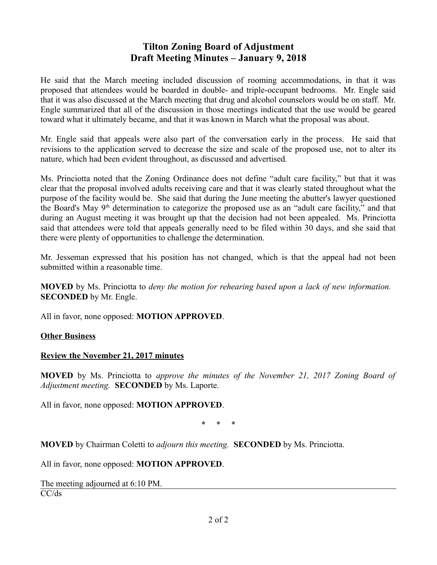# **Tilton Zoning Board of Adjustment Draft Meeting Minutes – January 9, 2018**

He said that the March meeting included discussion of rooming accommodations, in that it was proposed that attendees would be boarded in double- and triple-occupant bedrooms. Mr. Engle said that it was also discussed at the March meeting that drug and alcohol counselors would be on staff. Mr. Engle summarized that all of the discussion in those meetings indicated that the use would be geared toward what it ultimately became, and that it was known in March what the proposal was about.

Mr. Engle said that appeals were also part of the conversation early in the process. He said that revisions to the application served to decrease the size and scale of the proposed use, not to alter its nature, which had been evident throughout, as discussed and advertised.

Ms. Princiotta noted that the Zoning Ordinance does not define "adult care facility," but that it was clear that the proposal involved adults receiving care and that it was clearly stated throughout what the purpose of the facility would be. She said that during the June meeting the abutter's lawyer questioned the Board's May  $9<sup>th</sup>$  determination to categorize the proposed use as an "adult care facility," and that during an August meeting it was brought up that the decision had not been appealed. Ms. Princiotta said that attendees were told that appeals generally need to be filed within 30 days, and she said that there were plenty of opportunities to challenge the determination.

Mr. Jesseman expressed that his position has not changed, which is that the appeal had not been submitted within a reasonable time.

**MOVED** by Ms. Princiotta to *deny the motion for rehearing based upon a lack of new information.*  **SECONDED** by Mr. Engle.

All in favor, none opposed: **MOTION APPROVED**.

### **Other Business**

### **Review the November 21, 2017 minutes**

**MOVED** by Ms. Princiotta to *approve the minutes of the November 21, 2017 Zoning Board of Adjustment meeting.* **SECONDED** by Ms. Laporte.

All in favor, none opposed: **MOTION APPROVED**.

\* \* \*

**MOVED** by Chairman Coletti to *adjourn this meeting.* **SECONDED** by Ms. Princiotta.

All in favor, none opposed: **MOTION APPROVED**.

The meeting adjourned at 6:10 PM. CC/ds